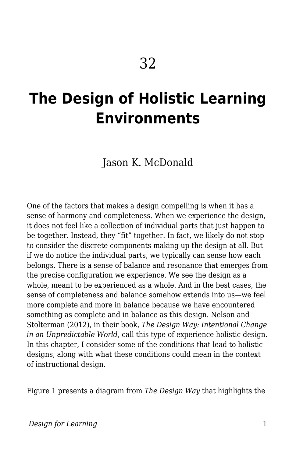# **The Design of Holistic Learning Environments**

Jason K. McDonald

One of the factors that makes a design compelling is when it has a sense of harmony and completeness. When we experience the design, it does not feel like a collection of individual parts that just happen to be together. Instead, they "fit" together. In fact, we likely do not stop to consider the discrete components making up the design at all. But if we do notice the individual parts, we typically can sense how each belongs. There is a sense of balance and resonance that emerges from the precise configuration we experience. We see the design as a whole, meant to be experienced as a whole. And in the best cases, the sense of completeness and balance somehow extends into us—we feel more complete and more in balance because we have encountered something as complete and in balance as this design. Nelson and Stolterman (2012), in their book, *The Design Way: Intentional Change in an Unpredictable World*, call this type of experience holistic design. In this chapter, I consider some of the conditions that lead to holistic designs, along with what these conditions could mean in the context of instructional design.

Figure 1 presents a diagram from *The Design Way* that highlights the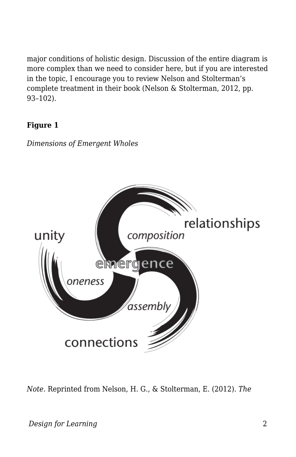major conditions of holistic design. Discussion of the entire diagram is more complex than we need to consider here, but if you are interested in the topic, I encourage you to review Nelson and Stolterman's complete treatment in their book (Nelson & Stolterman, 2012, pp. 93–102).

#### **Figure 1**



*Dimensions of Emergent Wholes*

*Note.* Reprinted from Nelson, H. G., & Stolterman, E. (2012). *The*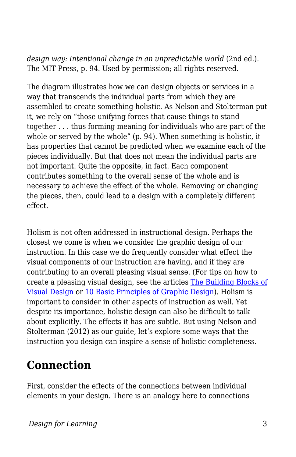*design way: Intentional change in an unpredictable world* (2nd ed.). The MIT Press, p. 94. Used by permission; all rights reserved.

The diagram illustrates how we can design objects or services in a way that transcends the individual parts from which they are assembled to create something holistic. As Nelson and Stolterman put it, we rely on "those unifying forces that cause things to stand together . . . thus forming meaning for individuals who are part of the whole or served by the whole" (p. 94). When something is holistic, it has properties that cannot be predicted when we examine each of the pieces individually. But that does not mean the individual parts are not important. Quite the opposite, in fact. Each component contributes something to the overall sense of the whole and is necessary to achieve the effect of the whole. Removing or changing the pieces, then, could lead to a design with a completely different effect.

Holism is not often addressed in instructional design. Perhaps the closest we come is when we consider the graphic design of our instruction. In this case we do frequently consider what effect the visual components of our instruction are having, and if they are contributing to an overall pleasing visual sense. (For tips on how to create a pleasing visual design, see the articles [The Building Blocks of](https://www.interaction-design.org/literature/article/the-building-blocks-of-visual-design) [Visual Design](https://www.interaction-design.org/literature/article/the-building-blocks-of-visual-design) or [10 Basic Principles of Graphic Design](https://medium.com/@anahatrawal/10-basic-principles-of-graphic-design-b74be0dbdb58)). Holism is important to consider in other aspects of instruction as well. Yet despite its importance, holistic design can also be difficult to talk about explicitly. The effects it has are subtle. But using Nelson and Stolterman (2012) as our guide, let's explore some ways that the instruction you design can inspire a sense of holistic completeness.

### **Connection**

First, consider the effects of the connections between individual elements in your design. There is an analogy here to connections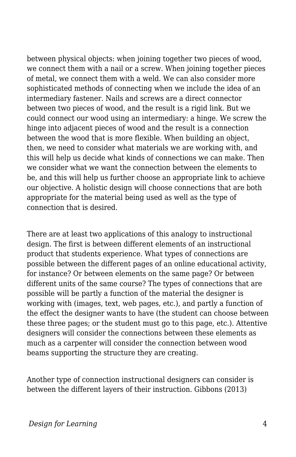between physical objects: when joining together two pieces of wood, we connect them with a nail or a screw. When joining together pieces of metal, we connect them with a weld. We can also consider more sophisticated methods of connecting when we include the idea of an intermediary fastener. Nails and screws are a direct connector between two pieces of wood, and the result is a rigid link. But we could connect our wood using an intermediary: a hinge. We screw the hinge into adjacent pieces of wood and the result is a connection between the wood that is more flexible. When building an object, then, we need to consider what materials we are working with, and this will help us decide what kinds of connections we can make. Then we consider what we want the connection between the elements to be, and this will help us further choose an appropriate link to achieve our objective. A holistic design will choose connections that are both appropriate for the material being used as well as the type of connection that is desired.

There are at least two applications of this analogy to instructional design. The first is between different elements of an instructional product that students experience. What types of connections are possible between the different pages of an online educational activity, for instance? Or between elements on the same page? Or between different units of the same course? The types of connections that are possible will be partly a function of the material the designer is working with (images, text, web pages, etc.), and partly a function of the effect the designer wants to have (the student can choose between these three pages; or the student must go to this page, etc.). Attentive designers will consider the connections between these elements as much as a carpenter will consider the connection between wood beams supporting the structure they are creating.

Another type of connection instructional designers can consider is between the different layers of their instruction. Gibbons (2013)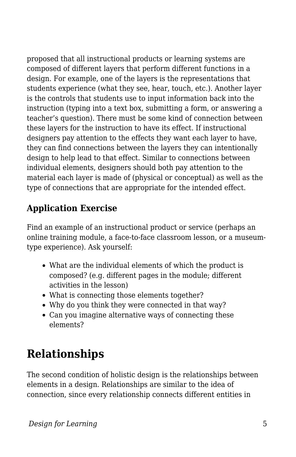proposed that all instructional products or learning systems are composed of different layers that perform different functions in a design. For example, one of the layers is the representations that students experience (what they see, hear, touch, etc.). Another layer is the controls that students use to input information back into the instruction (typing into a text box, submitting a form, or answering a teacher's question). There must be some kind of connection between these layers for the instruction to have its effect. If instructional designers pay attention to the effects they want each layer to have, they can find connections between the layers they can intentionally design to help lead to that effect. Similar to connections between individual elements, designers should both pay attention to the material each layer is made of (physical or conceptual) as well as the type of connections that are appropriate for the intended effect.

#### **Application Exercise**

Find an example of an instructional product or service (perhaps an online training module, a face-to-face classroom lesson, or a museumtype experience). Ask yourself:

- What are the individual elements of which the product is composed? (e.g. different pages in the module; different activities in the lesson)
- What is connecting those elements together?
- Why do you think they were connected in that way?
- Can you imagine alternative ways of connecting these elements?

## **Relationships**

The second condition of holistic design is the relationships between elements in a design. Relationships are similar to the idea of connection, since every relationship connects different entities in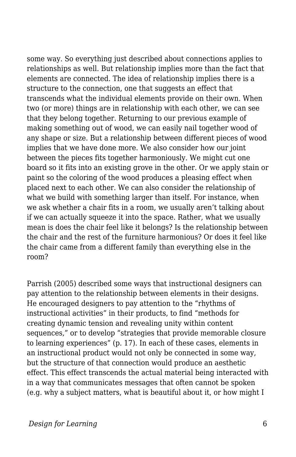some way. So everything just described about connections applies to relationships as well. But relationship implies more than the fact that elements are connected. The idea of relationship implies there is a structure to the connection, one that suggests an effect that transcends what the individual elements provide on their own. When two (or more) things are in relationship with each other, we can see that they belong together. Returning to our previous example of making something out of wood, we can easily nail together wood of any shape or size. But a relationship between different pieces of wood implies that we have done more. We also consider how our joint between the pieces fits together harmoniously. We might cut one board so it fits into an existing grove in the other. Or we apply stain or paint so the coloring of the wood produces a pleasing effect when placed next to each other. We can also consider the relationship of what we build with something larger than itself. For instance, when we ask whether a chair fits in a room, we usually aren't talking about if we can actually squeeze it into the space. Rather, what we usually mean is does the chair feel like it belongs? Is the relationship between the chair and the rest of the furniture harmonious? Or does it feel like the chair came from a different family than everything else in the room?

Parrish (2005) described some ways that instructional designers can pay attention to the relationship between elements in their designs. He encouraged designers to pay attention to the "rhythms of instructional activities" in their products, to find "methods for creating dynamic tension and revealing unity within content sequences," or to develop "strategies that provide memorable closure to learning experiences" (p. 17). In each of these cases, elements in an instructional product would not only be connected in some way, but the structure of that connection would produce an aesthetic effect. This effect transcends the actual material being interacted with in a way that communicates messages that often cannot be spoken (e.g. why a subject matters, what is beautiful about it, or how might I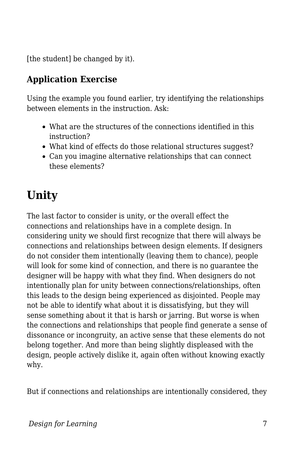[the student] be changed by it).

#### **Application Exercise**

Using the example you found earlier, try identifying the relationships between elements in the instruction. Ask-

- What are the structures of the connections identified in this instruction?
- What kind of effects do those relational structures suggest?
- Can you imagine alternative relationships that can connect these elements?

## **Unity**

The last factor to consider is unity, or the overall effect the connections and relationships have in a complete design. In considering unity we should first recognize that there will always be connections and relationships between design elements. If designers do not consider them intentionally (leaving them to chance), people will look for some kind of connection, and there is no guarantee the designer will be happy with what they find. When designers do not intentionally plan for unity between connections/relationships, often this leads to the design being experienced as disjointed. People may not be able to identify what about it is dissatisfying, but they will sense something about it that is harsh or jarring. But worse is when the connections and relationships that people find generate a sense of dissonance or incongruity, an active sense that these elements do not belong together. And more than being slightly displeased with the design, people actively dislike it, again often without knowing exactly why.

But if connections and relationships are intentionally considered, they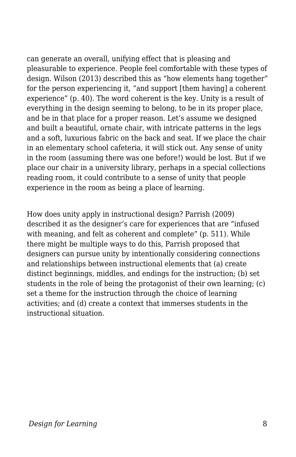can generate an overall, unifying effect that is pleasing and pleasurable to experience. People feel comfortable with these types of design. Wilson (2013) described this as "how elements hang together" for the person experiencing it, "and support [them having] a coherent experience" (p. 40). The word coherent is the key. Unity is a result of everything in the design seeming to belong, to be in its proper place, and be in that place for a proper reason. Let's assume we designed and built a beautiful, ornate chair, with intricate patterns in the legs and a soft, luxurious fabric on the back and seat. If we place the chair in an elementary school cafeteria, it will stick out. Any sense of unity in the room (assuming there was one before!) would be lost. But if we place our chair in a university library, perhaps in a special collections reading room, it could contribute to a sense of unity that people experience in the room as being a place of learning.

How does unity apply in instructional design? Parrish (2009) described it as the designer's care for experiences that are "infused with meaning, and felt as coherent and complete" (p. 511). While there might be multiple ways to do this, Parrish proposed that designers can pursue unity by intentionally considering connections and relationships between instructional elements that (a) create distinct beginnings, middles, and endings for the instruction; (b) set students in the role of being the protagonist of their own learning; (c) set a theme for the instruction through the choice of learning activities; and (d) create a context that immerses students in the instructional situation.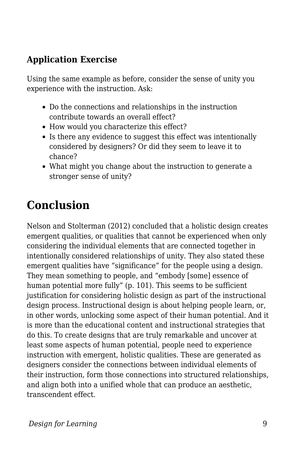#### **Application Exercise**

Using the same example as before, consider the sense of unity you experience with the instruction. Ask:

- Do the connections and relationships in the instruction contribute towards an overall effect?
- How would you characterize this effect?
- Is there any evidence to suggest this effect was intentionally considered by designers? Or did they seem to leave it to chance?
- What might you change about the instruction to generate a stronger sense of unity?

### **Conclusion**

Nelson and Stolterman (2012) concluded that a holistic design creates emergent qualities, or qualities that cannot be experienced when only considering the individual elements that are connected together in intentionally considered relationships of unity. They also stated these emergent qualities have "significance" for the people using a design. They mean something to people, and "embody [some] essence of human potential more fully" (p. 101). This seems to be sufficient justification for considering holistic design as part of the instructional design process. Instructional design is about helping people learn, or, in other words, unlocking some aspect of their human potential. And it is more than the educational content and instructional strategies that do this. To create designs that are truly remarkable and uncover at least some aspects of human potential, people need to experience instruction with emergent, holistic qualities. These are generated as designers consider the connections between individual elements of their instruction, form those connections into structured relationships, and align both into a unified whole that can produce an aesthetic, transcendent effect.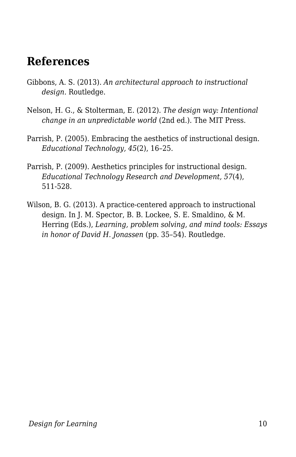### **References**

- Gibbons, A. S. (2013). *An architectural approach to instructional design*. Routledge.
- Nelson, H. G., & Stolterman, E. (2012). *The design way: Intentional change in an unpredictable world* (2nd ed.). The MIT Press.
- Parrish, P. (2005). Embracing the aesthetics of instructional design. *Educational Technology, 45*(2), 16–25.
- Parrish, P. (2009). Aesthetics principles for instructional design. *Educational Technology Research and Development, 57*(4), 511-528.
- Wilson, B. G. (2013). A practice-centered approach to instructional design. In J. M. Spector, B. B. Lockee, S. E. Smaldino, & M. Herring (Eds.), *Learning, problem solving, and mind tools: Essays in honor of David H. Jonassen* (pp. 35–54). Routledge.